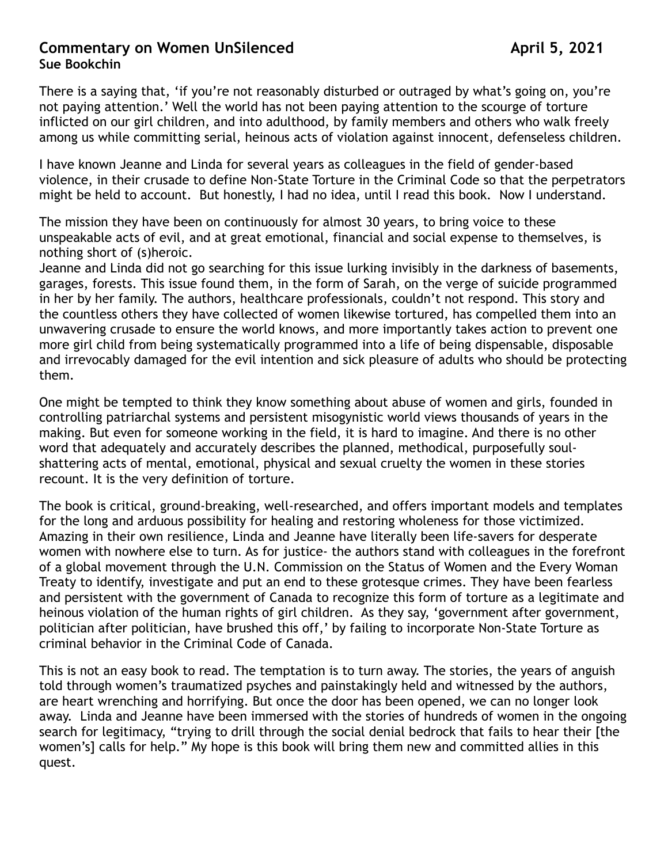## **Commentary on Women UnSilenced Commentary on Women UnSilenced Sue Bookchin**

There is a saying that, 'if you're not reasonably disturbed or outraged by what's going on, you're not paying attention.' Well the world has not been paying attention to the scourge of torture inflicted on our girl children, and into adulthood, by family members and others who walk freely among us while committing serial, heinous acts of violation against innocent, defenseless children.

I have known Jeanne and Linda for several years as colleagues in the field of gender-based violence, in their crusade to define Non-State Torture in the Criminal Code so that the perpetrators might be held to account. But honestly, I had no idea, until I read this book. Now I understand.

The mission they have been on continuously for almost 30 years, to bring voice to these unspeakable acts of evil, and at great emotional, financial and social expense to themselves, is nothing short of (s)heroic.

Jeanne and Linda did not go searching for this issue lurking invisibly in the darkness of basements, garages, forests. This issue found them, in the form of Sarah, on the verge of suicide programmed in her by her family. The authors, healthcare professionals, couldn't not respond. This story and the countless others they have collected of women likewise tortured, has compelled them into an unwavering crusade to ensure the world knows, and more importantly takes action to prevent one more girl child from being systematically programmed into a life of being dispensable, disposable and irrevocably damaged for the evil intention and sick pleasure of adults who should be protecting them.

One might be tempted to think they know something about abuse of women and girls, founded in controlling patriarchal systems and persistent misogynistic world views thousands of years in the making. But even for someone working in the field, it is hard to imagine. And there is no other word that adequately and accurately describes the planned, methodical, purposefully soulshattering acts of mental, emotional, physical and sexual cruelty the women in these stories recount. It is the very definition of torture.

The book is critical, ground-breaking, well-researched, and offers important models and templates for the long and arduous possibility for healing and restoring wholeness for those victimized. Amazing in their own resilience, Linda and Jeanne have literally been life-savers for desperate women with nowhere else to turn. As for justice- the authors stand with colleagues in the forefront of a global movement through the U.N. Commission on the Status of Women and the Every Woman Treaty to identify, investigate and put an end to these grotesque crimes. They have been fearless and persistent with the government of Canada to recognize this form of torture as a legitimate and heinous violation of the human rights of girl children. As they say, 'government after government, politician after politician, have brushed this off,' by failing to incorporate Non-State Torture as criminal behavior in the Criminal Code of Canada.

This is not an easy book to read. The temptation is to turn away. The stories, the years of anguish told through women's traumatized psyches and painstakingly held and witnessed by the authors, are heart wrenching and horrifying. But once the door has been opened, we can no longer look away. Linda and Jeanne have been immersed with the stories of hundreds of women in the ongoing search for legitimacy, "trying to drill through the social denial bedrock that fails to hear their [the women's] calls for help." My hope is this book will bring them new and committed allies in this quest.